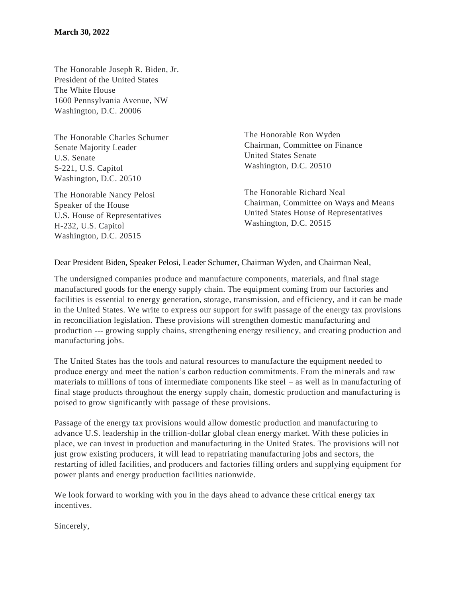The Honorable Joseph R. Biden, Jr. President of the United States The White House 1600 Pennsylvania Avenue, NW Washington, D.C. 20006

The Honorable Charles Schumer Senate Majority Leader U.S. Senate S-221, U.S. Capitol Washington, D.C. 20510

The Honorable Nancy Pelosi Speaker of the House U.S. House of Representatives H-232, U.S. Capitol Washington, D.C. 20515

The Honorable Ron Wyden Chairman, Committee on Finance United States Senate Washington, D.C. 20510

The Honorable Richard Neal Chairman, Committee on Ways and Means United States House of Representatives Washington, D.C. 20515

Dear President Biden, Speaker Pelosi, Leader Schumer, Chairman Wyden, and Chairman Neal,

The undersigned companies produce and manufacture components, materials, and final stage manufactured goods for the energy supply chain. The equipment coming from our factories and facilities is essential to energy generation, storage, transmission, and efficiency, and it can be made in the United States. We write to express our support for swift passage of the energy tax provisions in reconciliation legislation. These provisions will strengthen domestic manufacturing and production --- growing supply chains, strengthening energy resiliency, and creating production and manufacturing jobs.

The United States has the tools and natural resources to manufacture the equipment needed to produce energy and meet the nation's carbon reduction commitments. From the minerals and raw materials to millions of tons of intermediate components like steel – as well as in manufacturing of final stage products throughout the energy supply chain, domestic production and manufacturing is poised to grow significantly with passage of these provisions.

Passage of the energy tax provisions would allow domestic production and manufacturing to advance U.S. leadership in the trillion-dollar global clean energy market. With these policies in place, we can invest in production and manufacturing in the United States. The provisions will not just grow existing producers, it will lead to repatriating manufacturing jobs and sectors, the restarting of idled facilities, and producers and factories filling orders and supplying equipment for power plants and energy production facilities nationwide.

We look forward to working with you in the days ahead to advance these critical energy tax incentives.

Sincerely,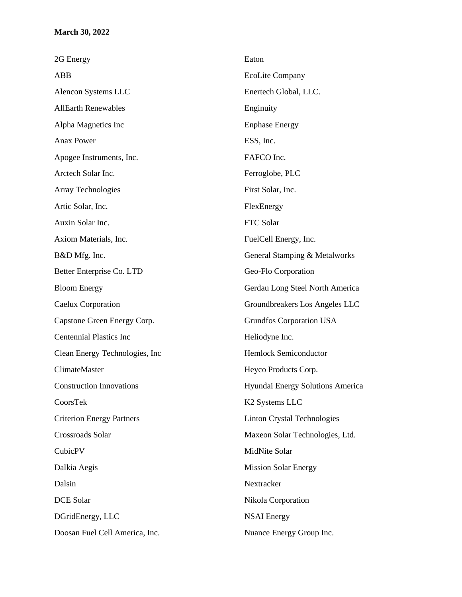| 2G Energy                        | Eaton                              |
|----------------------------------|------------------------------------|
| ABB                              | <b>EcoLite Company</b>             |
| Alencon Systems LLC              | Enertech Global, LLC.              |
| <b>AllEarth Renewables</b>       | Enginuity                          |
| Alpha Magnetics Inc              | <b>Enphase Energy</b>              |
| <b>Anax Power</b>                | ESS, Inc.                          |
| Apogee Instruments, Inc.         | FAFCO Inc.                         |
| Arctech Solar Inc.               | Ferroglobe, PLC                    |
| Array Technologies               | First Solar, Inc.                  |
| Artic Solar, Inc.                | FlexEnergy                         |
| Auxin Solar Inc.                 | FTC Solar                          |
| Axiom Materials, Inc.            | FuelCell Energy, Inc.              |
| B&D Mfg. Inc.                    | General Stamping & Metalworks      |
| Better Enterprise Co. LTD        | Geo-Flo Corporation                |
| <b>Bloom Energy</b>              | Gerdau Long Steel North America    |
| Caelux Corporation               | Groundbreakers Los Angeles LLC     |
| Capstone Green Energy Corp.      | Grundfos Corporation USA           |
| <b>Centennial Plastics Inc</b>   | Heliodyne Inc.                     |
| Clean Energy Technologies, Inc.  | <b>Hemlock Semiconductor</b>       |
| ClimateMaster                    | Heyco Products Corp.               |
| <b>Construction Innovations</b>  | Hyundai Energy Solutions America   |
| CoorsTek                         | K <sub>2</sub> Systems LLC         |
| <b>Criterion Energy Partners</b> | <b>Linton Crystal Technologies</b> |
| Crossroads Solar                 | Maxeon Solar Technologies, Ltd.    |
| CubicPV                          | MidNite Solar                      |
| Dalkia Aegis                     | <b>Mission Solar Energy</b>        |
| Dalsin                           | Nextracker                         |
| DCE Solar                        | Nikola Corporation                 |
| DGridEnergy, LLC                 | <b>NSAI</b> Energy                 |
| Doosan Fuel Cell America, Inc.   | Nuance Energy Group Inc.           |